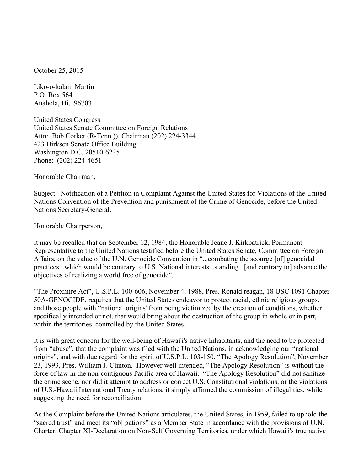October 25, 2015

Liko-o-kalani Martin P.O. Box 564 Anahola, Hi. 96703

United States Congress United States Senate Committee on Foreign Relations Attn: Bob Corker (R-Tenn.)), Chairman (202) 224-3344 423 Dirksen Senate Office Building Washington D.C. 20510-6225 Phone: (202) 224-4651

Honorable Chairman,

Subject: Notification of a Petition in Complaint Against the United States for Violations of the United Nations Convention of the Prevention and punishment of the Crime of Genocide, before the United Nations Secretary-General.

Honorable Chairperson,

It may be recalled that on September 12, 1984, the Honorable Jeane J. Kirkpatrick, Permanent Representative to the United Nations testified before the United States Senate, Committee on Foreign Affairs, on the value of the U.N. Genocide Convention in "...combating the scourge [of] genocidal practices...which would be contrary to U.S. National interests...standing...[and contrary to] advance the objectives of realizing a world free of genocide".

"The Proxmire Act", U.S.P.L. 100-606, November 4, 1988, Pres. Ronald reagan, 18 USC 1091 Chapter 50A-GENOCIDE, requires that the United States endeavor to protect racial, ethnic religious groups, and those people with "national origins' from being victimized by the creation of conditions, whether specifically intended or not, that would bring about the destruction of the group in whole or in part, within the territories controlled by the United States.

It is with great concern for the well-being of Hawai'i's native Inhabitants, and the need to be protected from "abuse", that the complaint was filed with the United Nations, in acknowledging our "national origins", and with due regard for the spirit of U.S.P.L. 103-150, "The Apology Resolution", November 23, 1993, Pres. William J. Clinton. However well intended, "The Apology Resolution" is without the force of law in the non-contiguous Pacific area of Hawaii. "The Apology Resolution" did not sanitize the crime scene, nor did it attempt to address or correct U.S. Constitutional violations, or the violations of U.S.-Hawaii International Treaty relations, it simply affirmed the commission of illegalities, while suggesting the need for reconciliation.

As the Complaint before the United Nations articulates, the United States, in 1959, failed to uphold the "sacred trust" and meet its "obligations" as a Member State in accordance with the provisions of U.N. Charter, Chapter XI-Declaration on Non-Self Governing Territories, under which Hawai'i's true native